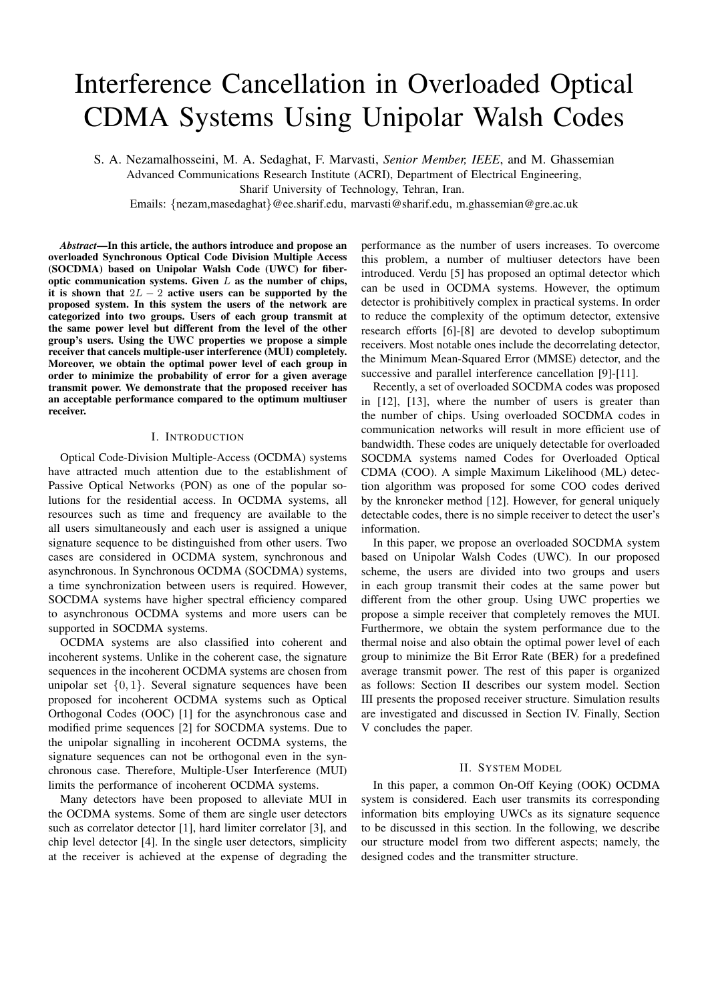# Interference Cancellation in Overloaded Optical CDMA Systems Using Unipolar Walsh Codes

S. A. Nezamalhosseini, M. A. Sedaghat, F. Marvasti, *Senior Member, IEEE*, and M. Ghassemian Advanced Communications Research Institute (ACRI), Department of Electrical Engineering,

Sharif University of Technology, Tehran, Iran.

Emails: {nezam,masedaghat}@ee.sharif.edu, marvasti@sharif.edu, m.ghassemian@gre.ac.uk

*Abstract***—In this article, the authors introduce and propose an overloaded Synchronous Optical Code Division Multiple Access (SOCDMA) based on Unipolar Walsh Code (UWC) for fiber**optic communication systems. Given  $L$  as the number of chips, it is shown that  $2L - 2$  active users can be supported by the **proposed system. In this system the users of the network are categorized into two groups. Users of each group transmit at the same power level but different from the level of the other group's users. Using the UWC properties we propose a simple receiver that cancels multiple-user interference (MUI) completely. Moreover, we obtain the optimal power level of each group in order to minimize the probability of error for a given average transmit power. We demonstrate that the proposed receiver has an acceptable performance compared to the optimum multiuser receiver.**

## I. INTRODUCTION

Optical Code-Division Multiple-Access (OCDMA) systems have attracted much attention due to the establishment of Passive Optical Networks (PON) as one of the popular solutions for the residential access. In OCDMA systems, all resources such as time and frequency are available to the all users simultaneously and each user is assigned a unique signature sequence to be distinguished from other users. Two cases are considered in OCDMA system, synchronous and asynchronous. In Synchronous OCDMA (SOCDMA) systems, a time synchronization between users is required. However, SOCDMA systems have higher spectral efficiency compared to asynchronous OCDMA systems and more users can be supported in SOCDMA systems.

OCDMA systems are also classified into coherent and incoherent systems. Unlike in the coherent case, the signature sequences in the incoherent OCDMA systems are chosen from unipolar set  $\{0, 1\}$ . Several signature sequences have been proposed for incoherent OCDMA systems such as Optical Orthogonal Codes (OOC) [1] for the asynchronous case and modified prime sequences [2] for SOCDMA systems. Due to the unipolar signalling in incoherent OCDMA systems, the signature sequences can not be orthogonal even in the synchronous case. Therefore, Multiple-User Interference (MUI) limits the performance of incoherent OCDMA systems.

Many detectors have been proposed to alleviate MUI in the OCDMA systems. Some of them are single user detectors such as correlator detector [1], hard limiter correlator [3], and chip level detector [4]. In the single user detectors, simplicity at the receiver is achieved at the expense of degrading the

performance as the number of users increases. To overcome this problem, a number of multiuser detectors have been introduced. Verdu [5] has proposed an optimal detector which can be used in OCDMA systems. However, the optimum detector is prohibitively complex in practical systems. In order to reduce the complexity of the optimum detector, extensive research efforts [6]-[8] are devoted to develop suboptimum receivers. Most notable ones include the decorrelating detector, the Minimum Mean-Squared Error (MMSE) detector, and the successive and parallel interference cancellation [9]-[11].

Recently, a set of overloaded SOCDMA codes was proposed in [12], [13], where the number of users is greater than the number of chips. Using overloaded SOCDMA codes in communication networks will result in more efficient use of bandwidth. These codes are uniquely detectable for overloaded SOCDMA systems named Codes for Overloaded Optical CDMA (COO). A simple Maximum Likelihood (ML) detection algorithm was proposed for some COO codes derived by the knroneker method [12]. However, for general uniquely detectable codes, there is no simple receiver to detect the user's information.

In this paper, we propose an overloaded SOCDMA system based on Unipolar Walsh Codes (UWC). In our proposed scheme, the users are divided into two groups and users in each group transmit their codes at the same power but different from the other group. Using UWC properties we propose a simple receiver that completely removes the MUI. Furthermore, we obtain the system performance due to the thermal noise and also obtain the optimal power level of each group to minimize the Bit Error Rate (BER) for a predefined average transmit power. The rest of this paper is organized as follows: Section II describes our system model. Section III presents the proposed receiver structure. Simulation results are investigated and discussed in Section IV. Finally, Section V concludes the paper.

#### II. SYSTEM MODEL

In this paper, a common On-Off Keying (OOK) OCDMA system is considered. Each user transmits its corresponding information bits employing UWCs as its signature sequence to be discussed in this section. In the following, we describe our structure model from two different aspects; namely, the designed codes and the transmitter structure.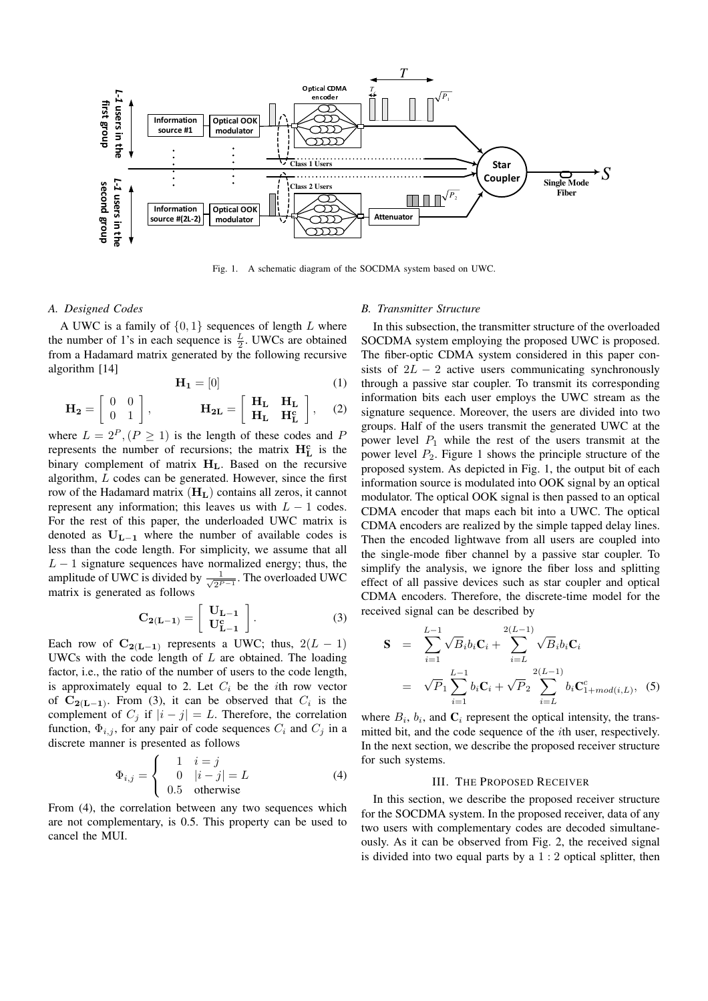

Fig. 1. A schematic diagram of the SOCDMA system based on UWC.

#### *A. Designed Codes*

A UWC is a family of  $\{0, 1\}$  sequences of length L where the number of 1's in each sequence is  $\frac{L}{2}$ . UWCs are obtained from a Hadamard matrix generated by the following recursive algorithm [14]

$$
\mathbf{H}_1 = [0] \tag{1}
$$

$$
\mathbf{H_2} = \left[ \begin{array}{cc} 0 & 0 \\ 0 & 1 \end{array} \right], \qquad \qquad \mathbf{H_{2L}} = \left[ \begin{array}{cc} \mathbf{H_L} & \mathbf{H_L} \\ \mathbf{H_L} & \mathbf{H_L^c} \end{array} \right], \quad (2)
$$

where  $L = 2^P$ ,  $(P \ge 1)$  is the length of these codes and P represents the number of recursions; the matrix **H<sup>c</sup> <sup>L</sup>** is the binary complement of matrix **HL**. Based on the recursive algorithm,  $L$  codes can be generated. However, since the first row of the Hadamard matrix (**HL**) contains all zeros, it cannot represent any information; this leaves us with  $L - 1$  codes. For the rest of this paper, the underloaded UWC matrix is denoted as  $U_{L-1}$  where the number of available codes is less than the code length. For simplicity, we assume that all  $L - 1$  signature sequences have normalized energy; thus, the amplitude of UWC is divided by  $\frac{1}{\sqrt{2^{P-1}}}$ . The overloaded UWC matrix is generated as follows

$$
\mathbf{C}_{2(\mathbf{L}-1)} = \begin{bmatrix} \mathbf{U}_{\mathbf{L}-1} \\ \mathbf{U}_{\mathbf{L}-1}^{\mathbf{c}} \end{bmatrix} . \tag{3}
$$

Each row of  $C_{2(L-1)}$  represents a UWC; thus,  $2(L-1)$ UWCs with the code length of  $L$  are obtained. The loading factor, i.e., the ratio of the number of users to the code length, is approximately equal to 2. Let  $C_i$  be the *i*th row vector of  $C_{2(L-1)}$ . From (3), it can be observed that  $C_i$  is the complement of  $C_j$  if  $|i - j| = L$ . Therefore, the correlation function,  $\Phi_{i,j}$ , for any pair of code sequences  $C_i$  and  $C_j$  in a discrete manner is presented as follows

$$
\Phi_{i,j} = \begin{cases}\n1 & i = j \\
0 & |i - j| = L \\
0.5 & \text{otherwise}\n\end{cases}
$$
\n(4)

From (4), the correlation between any two sequences which are not complementary, is 0.5. This property can be used to cancel the MUI.

#### *B. Transmitter Structure*

In this subsection, the transmitter structure of the overloaded SOCDMA system employing the proposed UWC is proposed. The fiber-optic CDMA system considered in this paper consists of  $2L - 2$  active users communicating synchronously through a passive star coupler. To transmit its corresponding information bits each user employs the UWC stream as the signature sequence. Moreover, the users are divided into two groups. Half of the users transmit the generated UWC at the power level  $P_1$  while the rest of the users transmit at the power level  $P_2$ . Figure 1 shows the principle structure of the proposed system. As depicted in Fig. 1, the output bit of each information source is modulated into OOK signal by an optical modulator. The optical OOK signal is then passed to an optical CDMA encoder that maps each bit into a UWC. The optical CDMA encoders are realized by the simple tapped delay lines. Then the encoded lightwave from all users are coupled into the single-mode fiber channel by a passive star coupler. To simplify the analysis, we ignore the fiber loss and splitting effect of all passive devices such as star coupler and optical CDMA encoders. Therefore, the discrete-time model for the received signal can be described by

$$
\mathbf{S} = \sum_{i=1}^{L-1} \sqrt{B_i} b_i \mathbf{C}_i + \sum_{i=L}^{2(L-1)} \sqrt{B_i} b_i \mathbf{C}_i
$$
  
=  $\sqrt{P}_1 \sum_{i=1}^{L-1} b_i \mathbf{C}_i + \sqrt{P}_2 \sum_{i=L}^{2(L-1)} b_i \mathbf{C}_{1+mod(i,L)}^c$ , (5)

where  $B_i$ ,  $b_i$ , and  $C_i$  represent the optical intensity, the transmitted bit, and the code sequence of the *i*th user, respectively. In the next section, we describe the proposed receiver structure for such systems.

### III. THE PROPOSED RECEIVER

In this section, we describe the proposed receiver structure for the SOCDMA system. In the proposed receiver, data of any two users with complementary codes are decoded simultaneously. As it can be observed from Fig. 2, the received signal is divided into two equal parts by a  $1:2$  optical splitter, then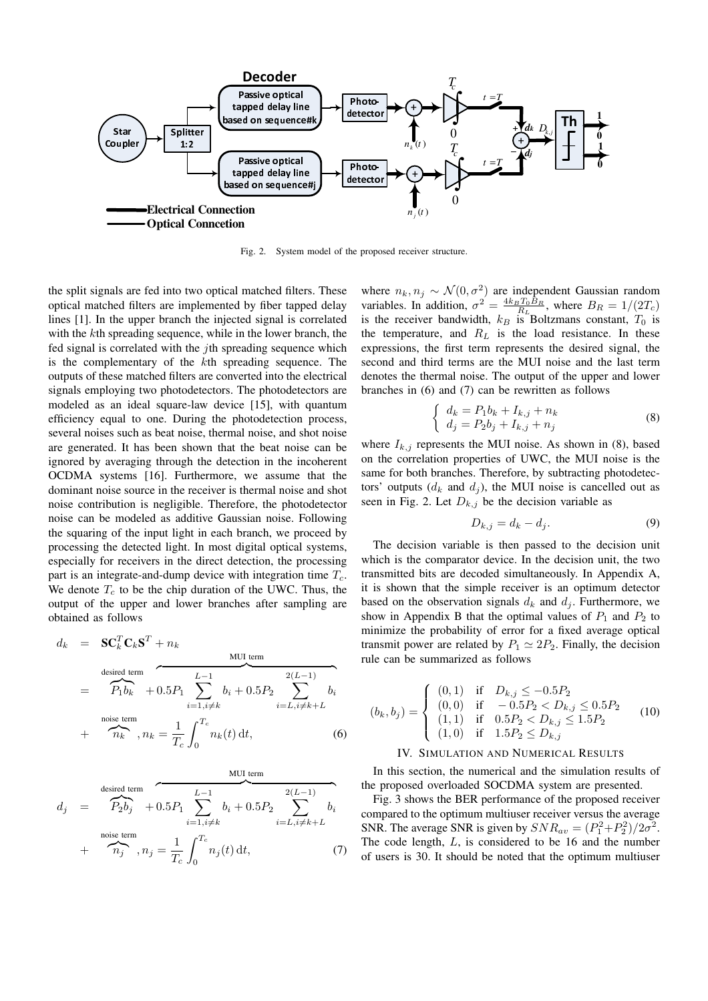

Fig. 2. System model of the proposed receiver structure.

the split signals are fed into two optical matched filters. These optical matched filters are implemented by fiber tapped delay lines [1]. In the upper branch the injected signal is correlated with the  $k$ th spreading sequence, while in the lower branch, the fed signal is correlated with the  $j$ th spreading sequence which is the complementary of the kth spreading sequence. The outputs of these matched filters are converted into the electrical signals employing two photodetectors. The photodetectors are modeled as an ideal square-law device [15], with quantum efficiency equal to one. During the photodetection process, several noises such as beat noise, thermal noise, and shot noise are generated. It has been shown that the beat noise can be ignored by averaging through the detection in the incoherent OCDMA systems [16]. Furthermore, we assume that the dominant noise source in the receiver is thermal noise and shot noise contribution is negligible. Therefore, the photodetector noise can be modeled as additive Gaussian noise. Following the squaring of the input light in each branch, we proceed by processing the detected light. In most digital optical systems, especially for receivers in the direct detection, the processing part is an integrate-and-dump device with integration time  $T_c$ . We denote  $T_c$  to be the chip duration of the UWC. Thus, the output of the upper and lower branches after sampling are obtained as follows

$$
d_k = \mathbf{SC}_k^T \mathbf{C}_k \mathbf{S}^T + n_k
$$
  
\n
$$
= \overbrace{P_1 b_k}^{\text{desired term}} + 0.5 P_1 \sum_{i=1, i \neq k}^{L-1} b_i + 0.5 P_2 \sum_{i=L, i \neq k+L}^{2(L-1)} b_i
$$
  
\n
$$
+ \overbrace{m_k}^{\text{noise term}}, n_k = \frac{1}{T_c} \int_0^{T_c} n_k(t) dt, \tag{6}
$$

$$
d_j = \overbrace{P_2 b_j}^{\text{desired term}} + 0.5P_1 \sum_{i=1, i \neq k}^{L-1} b_i + 0.5P_2 \sum_{i=L, i \neq k+L}^{2(L-1)} b_i
$$
  
+ 
$$
\overbrace{n_j}^{\text{noise term}}, n_j = \frac{1}{T_c} \int_0^{T_c} n_j(t) dt, \tag{7}
$$

where  $n_k, n_j \sim \mathcal{N}(0, \sigma^2)$  are independent Gaussian random variables. In addition,  $\sigma^2 = \frac{4k_B T_0 B_R}{R_L}$ , where  $B_R = 1/(2T_c)$ is the receiver bandwidth,  $k_B$  is Boltzmans constant,  $T_0$  is the temperature, and  $R_L$  is the load resistance. In these expressions, the first term represents the desired signal, the second and third terms are the MUI noise and the last term denotes the thermal noise. The output of the upper and lower branches in (6) and (7) can be rewritten as follows

$$
\begin{cases} d_k = P_1 b_k + I_{k,j} + n_k \\ d_j = P_2 b_j + I_{k,j} + n_j \end{cases} \tag{8}
$$

where  $I_{k,j}$  represents the MUI noise. As shown in (8), based on the correlation properties of UWC, the MUI noise is the same for both branches. Therefore, by subtracting photodetectors' outputs  $(d_k$  and  $d_i$ ), the MUI noise is cancelled out as seen in Fig. 2. Let  $D_{k,j}$  be the decision variable as

$$
D_{k,j} = d_k - d_j. \tag{9}
$$

The decision variable is then passed to the decision unit which is the comparator device. In the decision unit, the two transmitted bits are decoded simultaneously. In Appendix A, it is shown that the simple receiver is an optimum detector based on the observation signals  $d_k$  and  $d_j$ . Furthermore, we show in Appendix B that the optimal values of  $P_1$  and  $P_2$  to minimize the probability of error for a fixed average optical transmit power are related by  $P_1 \simeq 2P_2$ . Finally, the decision rule can be summarized as follows

$$
(b_k, b_j) = \begin{cases} (0,1) & \text{if } D_{k,j} \le -0.5P_2 \\ (0,0) & \text{if } -0.5P_2 < D_{k,j} \le 0.5P_2 \\ (1,1) & \text{if } 0.5P_2 < D_{k,j} \le 1.5P_2 \\ (1,0) & \text{if } 1.5P_2 \le D_{k,j} \end{cases}
$$
 (10)

#### IV. SIMULATION AND NUMERICAL RESULTS

In this section, the numerical and the simulation results of the proposed overloaded SOCDMA system are presented.

Fig. 3 shows the BER performance of the proposed receiver compared to the optimum multiuser receiver versus the average SNR. The average SNR is given by  $SNR_{av} = (P_1^2 + P_2^2)/2\sigma^2$ . The code length,  $L$ , is considered to be 16 and the number of users is 30. It should be noted that the optimum multiuser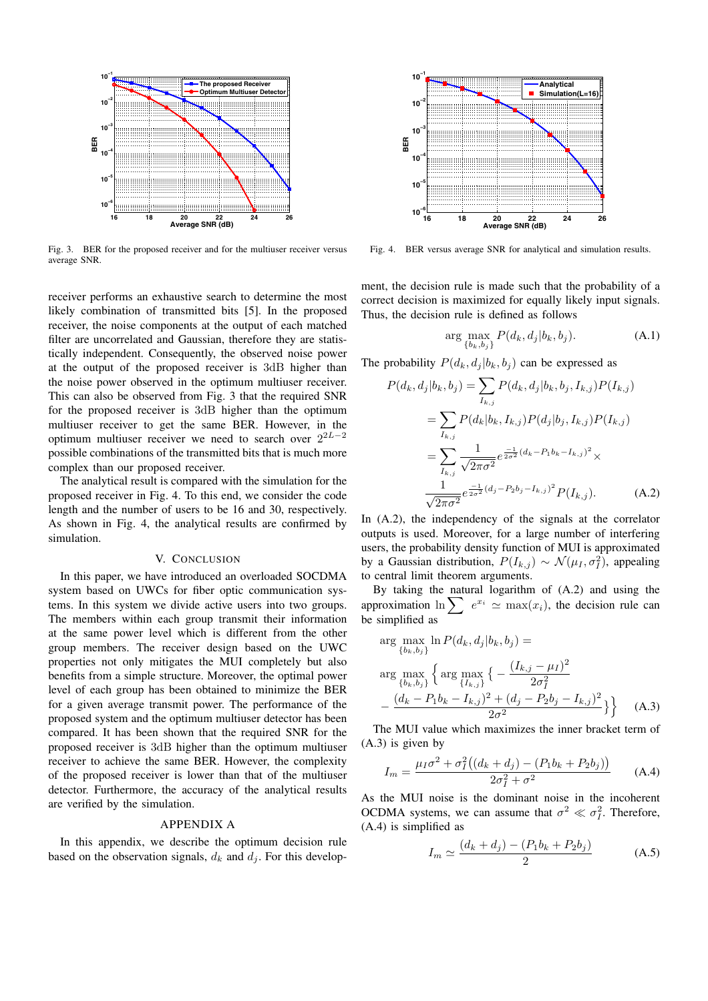

Fig. 3. BER for the proposed receiver and for the multiuser receiver versus average SNR.

receiver performs an exhaustive search to determine the most likely combination of transmitted bits [5]. In the proposed receiver, the noise components at the output of each matched filter are uncorrelated and Gaussian, therefore they are statistically independent. Consequently, the observed noise power at the output of the proposed receiver is 3dB higher than the noise power observed in the optimum multiuser receiver. This can also be observed from Fig. 3 that the required SNR for the proposed receiver is 3dB higher than the optimum multiuser receiver to get the same BER. However, in the optimum multiuser receiver we need to search over  $2^{2L-2}$ possible combinations of the transmitted bits that is much more complex than our proposed receiver.

The analytical result is compared with the simulation for the proposed receiver in Fig. 4. To this end, we consider the code length and the number of users to be 16 and 30, respectively. As shown in Fig. 4, the analytical results are confirmed by simulation.

### V. CONCLUSION

In this paper, we have introduced an overloaded SOCDMA system based on UWCs for fiber optic communication systems. In this system we divide active users into two groups. The members within each group transmit their information at the same power level which is different from the other group members. The receiver design based on the UWC properties not only mitigates the MUI completely but also benefits from a simple structure. Moreover, the optimal power level of each group has been obtained to minimize the BER for a given average transmit power. The performance of the proposed system and the optimum multiuser detector has been compared. It has been shown that the required SNR for the proposed receiver is 3dB higher than the optimum multiuser receiver to achieve the same BER. However, the complexity of the proposed receiver is lower than that of the multiuser detector. Furthermore, the accuracy of the analytical results are verified by the simulation.

## APPENDIX A

In this appendix, we describe the optimum decision rule based on the observation signals,  $d_k$  and  $d_i$ . For this develop-



Fig. 4. BER versus average SNR for analytical and simulation results.

ment, the decision rule is made such that the probability of a correct decision is maximized for equally likely input signals. Thus, the decision rule is defined as follows

$$
\arg\max_{\{b_k, b_j\}} P(d_k, d_j | b_k, b_j). \tag{A.1}
$$

The probability  $P(d_k, d_i | b_k, b_i)$  can be expressed as

$$
P(d_k, d_j | b_k, b_j) = \sum_{I_{k,j}} P(d_k, d_j | b_k, b_j, I_{k,j}) P(I_{k,j})
$$
  
= 
$$
\sum_{I_{k,j}} P(d_k | b_k, I_{k,j}) P(d_j | b_j, I_{k,j}) P(I_{k,j})
$$
  
= 
$$
\sum_{I_{k,j}} \frac{1}{\sqrt{2\pi\sigma^2}} e^{\frac{-1}{2\sigma^2} (d_k - P_1 b_k - I_{k,j})^2} \times \frac{1}{\sqrt{2\pi\sigma^2}} e^{\frac{-1}{2\sigma^2} (d_j - P_2 b_j - I_{k,j})^2} P(I_{k,j}).
$$
 (A.2)

In (A.2), the independency of the signals at the correlator outputs is used. Moreover, for a large number of interfering users, the probability density function of MUI is approximated by a Gaussian distribution,  $P(I_{k,j}) \sim \mathcal{N}(\mu_I, \sigma_I^2)$ , appealing to central limit theorem arguments.

By taking the natural logarithm of (A.2) and using the approximation ln $\sum e^{x_i} \simeq \max(x_i)$ , the decision rule can be simplified as

$$
\arg \max_{\{b_k, b_j\}} \ln P(d_k, d_j | b_k, b_j) =
$$
  
\n
$$
\arg \max_{\{b_k, b_j\}} \left\{ \arg \max_{\{I_{k,j}\}} \left\{ - \frac{(I_{k,j} - \mu_I)^2}{2\sigma_I^2} - \frac{(d_k - P_1 b_k - I_{k,j})^2 + (d_j - P_2 b_j - I_{k,j})^2}{2\sigma^2} \right\} \right\}
$$
 (A.3)

The MUI value which maximizes the inner bracket term of (A.3) is given by

$$
I_m = \frac{\mu_I \sigma^2 + \sigma_I^2 \left( (d_k + d_j) - (P_1 b_k + P_2 b_j) \right)}{2\sigma_I^2 + \sigma^2}
$$
 (A.4)

As the MUI noise is the dominant noise in the incoherent OCDMA systems, we can assume that  $\sigma^2 \ll \sigma_I^2$ . Therefore, (A.4) is simplified as

$$
I_m \simeq \frac{(d_k + d_j) - (P_1 b_k + P_2 b_j)}{2}
$$
 (A.5)